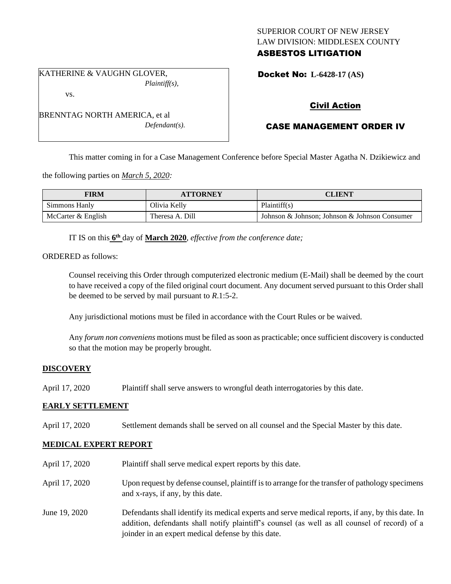# SUPERIOR COURT OF NEW JERSEY LAW DIVISION: MIDDLESEX COUNTY ASBESTOS LITIGATION

KATHERINE & VAUGHN GLOVER, *Plaintiff(s),*

vs.

BRENNTAG NORTH AMERICA, et al *Defendant(s).* Docket No: **L-6428-17 (AS)** 

# Civil Action

# CASE MANAGEMENT ORDER IV

This matter coming in for a Case Management Conference before Special Master Agatha N. Dzikiewicz and

the following parties on *March 5, 2020:*

| <b>FIRM</b>        | <b>ATTORNEY</b> | CLIENT                                        |
|--------------------|-----------------|-----------------------------------------------|
| Simmons Hanly      | Olivia Kelly    | Plaintiff(s)                                  |
| McCarter & English | Theresa A. Dill | Johnson & Johnson; Johnson & Johnson Consumer |

IT IS on this **6 th** day of **March 2020**, *effective from the conference date;*

ORDERED as follows:

Counsel receiving this Order through computerized electronic medium (E-Mail) shall be deemed by the court to have received a copy of the filed original court document. Any document served pursuant to this Order shall be deemed to be served by mail pursuant to *R*.1:5-2.

Any jurisdictional motions must be filed in accordance with the Court Rules or be waived.

Any *forum non conveniens* motions must be filed as soon as practicable; once sufficient discovery is conducted so that the motion may be properly brought.

# **DISCOVERY**

April 17, 2020 Plaintiff shall serve answers to wrongful death interrogatories by this date.

# **EARLY SETTLEMENT**

April 17, 2020 Settlement demands shall be served on all counsel and the Special Master by this date.

# **MEDICAL EXPERT REPORT**

| April 17, 2020 | Plaintiff shall serve medical expert reports by this date.                                                                                                                                                                                               |
|----------------|----------------------------------------------------------------------------------------------------------------------------------------------------------------------------------------------------------------------------------------------------------|
| April 17, 2020 | Upon request by defense counsel, plaintiff is to arrange for the transfer of pathology specimens<br>and x-rays, if any, by this date.                                                                                                                    |
| June 19, 2020  | Defendants shall identify its medical experts and serve medical reports, if any, by this date. In<br>addition, defendants shall notify plaintiff's counsel (as well as all counsel of record) of a<br>joinder in an expert medical defense by this date. |